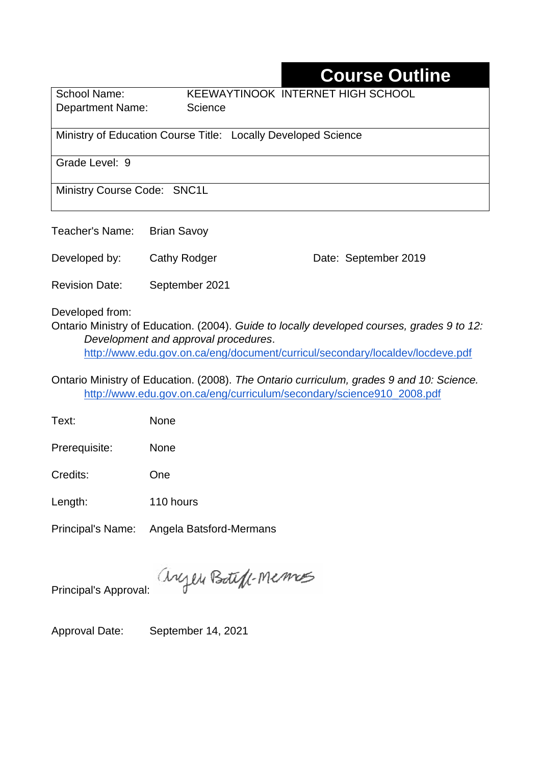## **Course Outline**

Department Name: Science

School Name: KEEWAYTINOOK INTERNET HIGH SCHOOL

Ministry of Education Course Title:Locally Developed Science

Grade Level: 9

Ministry Course Code: SNC1L

Teacher's Name: Brian Savoy

Developed by: Cathy Rodger Date: September 2019

Revision Date: September 2021

Developed from:

Ontario Ministry of Education. (2004). *Guide to locally developed courses, grades 9 to 12: Development and approval procedures*. <http://www.edu.gov.on.ca/eng/document/curricul/secondary/localdev/locdeve.pdf>

Ontario Ministry of Education. (2008). *The Ontario curriculum, grades 9 and 10: Science.*  [http://www.edu.gov.on.ca/eng/curriculum/secondary/science910\\_2008.pdf](http://www.edu.gov.on.ca/eng/curriculum/secondary/science910_2008.pdf)

Text: None

Prerequisite: None

Credits: One

Length: 110 hours

Principal's Name: Angela Batsford-Mermans

anyen Boteff-Memos Principal's Approval:

Approval Date: September 14, 2021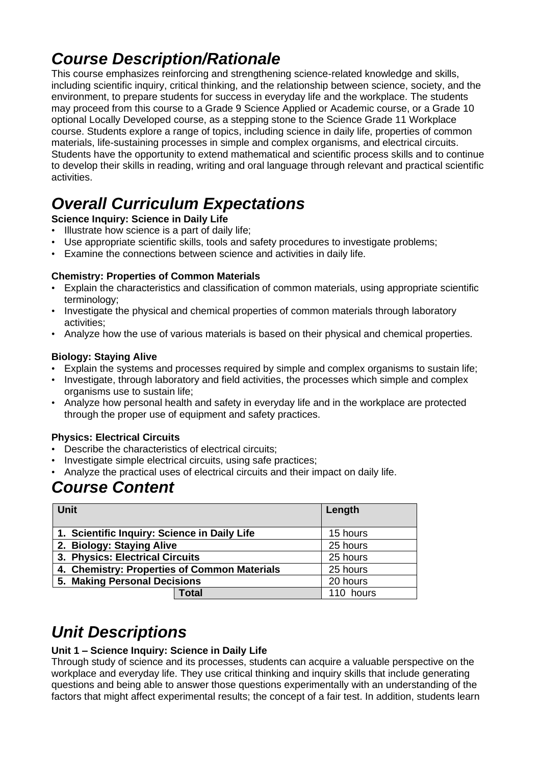## *Course Description/Rationale*

This course emphasizes reinforcing and strengthening science-related knowledge and skills, including scientific inquiry, critical thinking, and the relationship between science, society, and the environment, to prepare students for success in everyday life and the workplace. The students may proceed from this course to a Grade 9 Science Applied or Academic course, or a Grade 10 optional Locally Developed course, as a stepping stone to the Science Grade 11 Workplace course. Students explore a range of topics, including science in daily life, properties of common materials, life-sustaining processes in simple and complex organisms, and electrical circuits. Students have the opportunity to extend mathematical and scientific process skills and to continue to develop their skills in reading, writing and oral language through relevant and practical scientific activities.

# *Overall Curriculum Expectations*

**Science Inquiry: Science in Daily Life**

- Illustrate how science is a part of daily life;
- Use appropriate scientific skills, tools and safety procedures to investigate problems;
- Examine the connections between science and activities in daily life.

#### **Chemistry: Properties of Common Materials**

- Explain the characteristics and classification of common materials, using appropriate scientific terminology;
- Investigate the physical and chemical properties of common materials through laboratory activities;
- Analyze how the use of various materials is based on their physical and chemical properties.

#### **Biology: Staying Alive**

- Explain the systems and processes required by simple and complex organisms to sustain life;
- Investigate, through laboratory and field activities, the processes which simple and complex organisms use to sustain life;
- Analyze how personal health and safety in everyday life and in the workplace are protected through the proper use of equipment and safety practices.

#### **Physics: Electrical Circuits**

- Describe the characteristics of electrical circuits;
- Investigate simple electrical circuits, using safe practices;
- Analyze the practical uses of electrical circuits and their impact on daily life.

### *Course Content*

| <b>Unit</b>                                  |              | Length    |
|----------------------------------------------|--------------|-----------|
| 1. Scientific Inquiry: Science in Daily Life |              | 15 hours  |
| 2. Biology: Staying Alive                    |              | 25 hours  |
| 3. Physics: Electrical Circuits              |              | 25 hours  |
| 4. Chemistry: Properties of Common Materials |              | 25 hours  |
| 5. Making Personal Decisions                 |              | 20 hours  |
|                                              | <b>Total</b> | 110 hours |

## *Unit Descriptions*

#### **Unit 1 – Science Inquiry: Science in Daily Life**

Through study of science and its processes, students can acquire a valuable perspective on the workplace and everyday life. They use critical thinking and inquiry skills that include generating questions and being able to answer those questions experimentally with an understanding of the factors that might affect experimental results; the concept of a fair test. In addition, students learn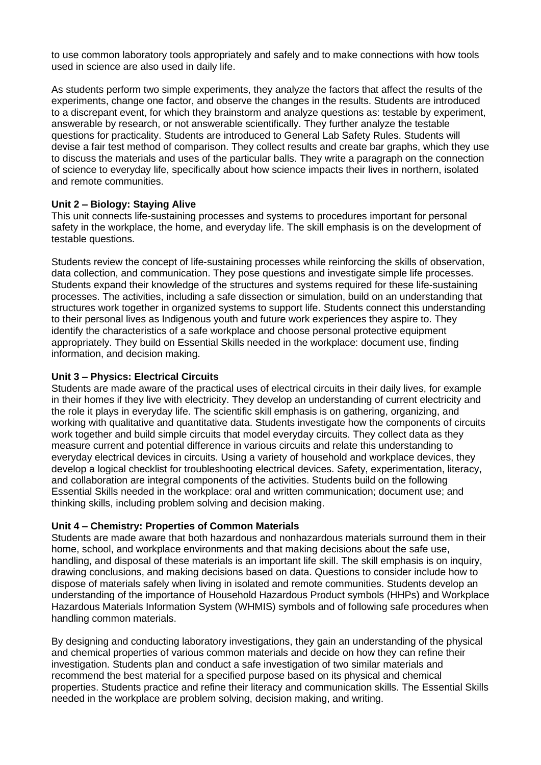to use common laboratory tools appropriately and safely and to make connections with how tools used in science are also used in daily life.

As students perform two simple experiments, they analyze the factors that affect the results of the experiments, change one factor, and observe the changes in the results. Students are introduced to a discrepant event, for which they brainstorm and analyze questions as: testable by experiment, answerable by research, or not answerable scientifically. They further analyze the testable questions for practicality. Students are introduced to General Lab Safety Rules. Students will devise a fair test method of comparison. They collect results and create bar graphs, which they use to discuss the materials and uses of the particular balls. They write a paragraph on the connection of science to everyday life, specifically about how science impacts their lives in northern, isolated and remote communities.

#### **Unit 2 – Biology: Staying Alive**

This unit connects life-sustaining processes and systems to procedures important for personal safety in the workplace, the home, and everyday life. The skill emphasis is on the development of testable questions.

Students review the concept of life-sustaining processes while reinforcing the skills of observation, data collection, and communication. They pose questions and investigate simple life processes. Students expand their knowledge of the structures and systems required for these life-sustaining processes. The activities, including a safe dissection or simulation, build on an understanding that structures work together in organized systems to support life. Students connect this understanding to their personal lives as Indigenous youth and future work experiences they aspire to. They identify the characteristics of a safe workplace and choose personal protective equipment appropriately. They build on Essential Skills needed in the workplace: document use, finding information, and decision making.

#### **Unit 3 – Physics: Electrical Circuits**

Students are made aware of the practical uses of electrical circuits in their daily lives, for example in their homes if they live with electricity. They develop an understanding of current electricity and the role it plays in everyday life. The scientific skill emphasis is on gathering, organizing, and working with qualitative and quantitative data. Students investigate how the components of circuits work together and build simple circuits that model everyday circuits. They collect data as they measure current and potential difference in various circuits and relate this understanding to everyday electrical devices in circuits. Using a variety of household and workplace devices, they develop a logical checklist for troubleshooting electrical devices. Safety, experimentation, literacy, and collaboration are integral components of the activities. Students build on the following Essential Skills needed in the workplace: oral and written communication; document use; and thinking skills, including problem solving and decision making.

#### **Unit 4 – Chemistry: Properties of Common Materials**

Students are made aware that both hazardous and nonhazardous materials surround them in their home, school, and workplace environments and that making decisions about the safe use, handling, and disposal of these materials is an important life skill. The skill emphasis is on inquiry, drawing conclusions, and making decisions based on data. Questions to consider include how to dispose of materials safely when living in isolated and remote communities. Students develop an understanding of the importance of Household Hazardous Product symbols (HHPs) and Workplace Hazardous Materials Information System (WHMIS) symbols and of following safe procedures when handling common materials.

By designing and conducting laboratory investigations, they gain an understanding of the physical and chemical properties of various common materials and decide on how they can refine their investigation. Students plan and conduct a safe investigation of two similar materials and recommend the best material for a specified purpose based on its physical and chemical properties. Students practice and refine their literacy and communication skills. The Essential Skills needed in the workplace are problem solving, decision making, and writing.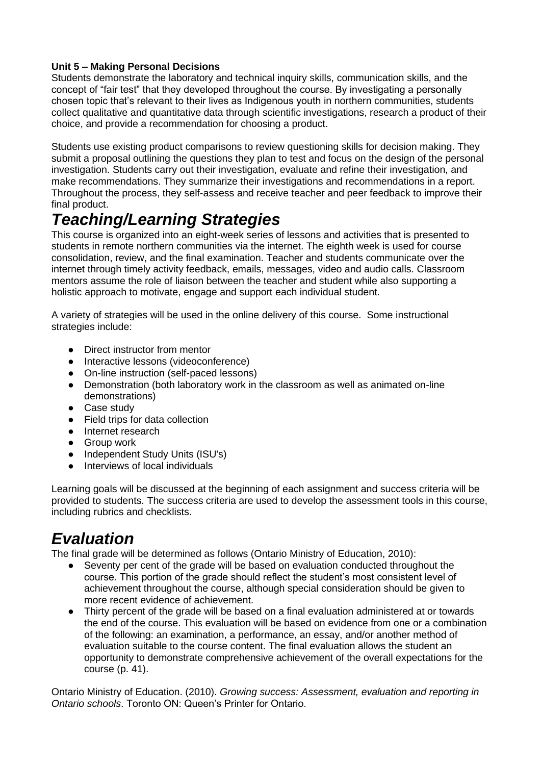#### **Unit 5 – Making Personal Decisions**

Students demonstrate the laboratory and technical inquiry skills, communication skills, and the concept of "fair test" that they developed throughout the course. By investigating a personally chosen topic that's relevant to their lives as Indigenous youth in northern communities, students collect qualitative and quantitative data through scientific investigations, research a product of their choice, and provide a recommendation for choosing a product.

Students use existing product comparisons to review questioning skills for decision making. They submit a proposal outlining the questions they plan to test and focus on the design of the personal investigation. Students carry out their investigation, evaluate and refine their investigation, and make recommendations. They summarize their investigations and recommendations in a report. Throughout the process, they self-assess and receive teacher and peer feedback to improve their final product.

## *Teaching/Learning Strategies*

This course is organized into an eight-week series of lessons and activities that is presented to students in remote northern communities via the internet. The eighth week is used for course consolidation, review, and the final examination. Teacher and students communicate over the internet through timely activity feedback, emails, messages, video and audio calls. Classroom mentors assume the role of liaison between the teacher and student while also supporting a holistic approach to motivate, engage and support each individual student.

A variety of strategies will be used in the online delivery of this course. Some instructional strategies include:

- Direct instructor from mentor
- Interactive lessons (videoconference)
- On-line instruction (self-paced lessons)
- Demonstration (both laboratory work in the classroom as well as animated on-line demonstrations)
- Case study
- Field trips for data collection
- Internet research
- Group work
- Independent Study Units (ISU's)
- Interviews of local individuals

Learning goals will be discussed at the beginning of each assignment and success criteria will be provided to students. The success criteria are used to develop the assessment tools in this course, including rubrics and checklists.

### *Evaluation*

The final grade will be determined as follows (Ontario Ministry of Education, 2010):

- Seventy per cent of the grade will be based on evaluation conducted throughout the course. This portion of the grade should reflect the student's most consistent level of achievement throughout the course, although special consideration should be given to more recent evidence of achievement.
- Thirty percent of the grade will be based on a final evaluation administered at or towards the end of the course. This evaluation will be based on evidence from one or a combination of the following: an examination, a performance, an essay, and/or another method of evaluation suitable to the course content. The final evaluation allows the student an opportunity to demonstrate comprehensive achievement of the overall expectations for the course (p. 41).

Ontario Ministry of Education. (2010). *Growing success: Assessment, evaluation and reporting in Ontario schools*. Toronto ON: Queen's Printer for Ontario.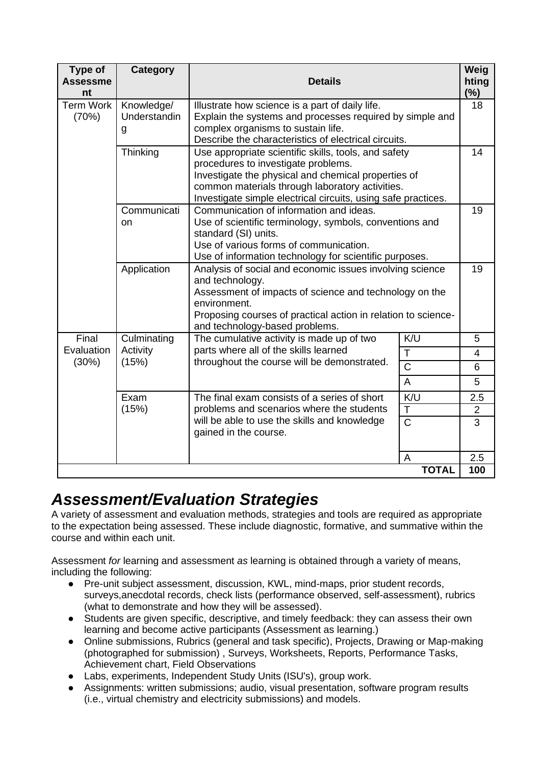| <b>Type of</b><br><b>Assessme</b><br>nt | Category                                                                                                                                                                                                                                                                | <b>Details</b>                                                                                                                                                                                                                                                         |                                      | Weig<br>hting<br>(%)<br>18 |
|-----------------------------------------|-------------------------------------------------------------------------------------------------------------------------------------------------------------------------------------------------------------------------------------------------------------------------|------------------------------------------------------------------------------------------------------------------------------------------------------------------------------------------------------------------------------------------------------------------------|--------------------------------------|----------------------------|
| <b>Term Work</b><br>(70%)               | Knowledge/<br>Understandin<br>g                                                                                                                                                                                                                                         | Illustrate how science is a part of daily life.<br>Explain the systems and processes required by simple and<br>complex organisms to sustain life.<br>Describe the characteristics of electrical circuits.                                                              |                                      |                            |
|                                         | Thinking                                                                                                                                                                                                                                                                | Use appropriate scientific skills, tools, and safety<br>procedures to investigate problems.<br>Investigate the physical and chemical properties of<br>common materials through laboratory activities.<br>Investigate simple electrical circuits, using safe practices. |                                      |                            |
|                                         | Communicati<br>on                                                                                                                                                                                                                                                       | Communication of information and ideas.<br>Use of scientific terminology, symbols, conventions and<br>standard (SI) units.<br>Use of various forms of communication.<br>Use of information technology for scientific purposes.                                         |                                      |                            |
|                                         | Application<br>Analysis of social and economic issues involving science<br>and technology.<br>Assessment of impacts of science and technology on the<br>environment.<br>Proposing courses of practical action in relation to science-<br>and technology-based problems. |                                                                                                                                                                                                                                                                        |                                      | 19                         |
| Final<br>Evaluation<br>(30%)            | Culminating<br>Activity<br>(15%)                                                                                                                                                                                                                                        | The cumulative activity is made up of two<br>parts where all of the skills learned<br>T<br>throughout the course will be demonstrated.<br>$\overline{\text{c}}$<br>$\overline{A}$                                                                                      | K/U                                  | 5                          |
|                                         |                                                                                                                                                                                                                                                                         |                                                                                                                                                                                                                                                                        |                                      | 4                          |
|                                         |                                                                                                                                                                                                                                                                         |                                                                                                                                                                                                                                                                        |                                      | 6                          |
|                                         |                                                                                                                                                                                                                                                                         |                                                                                                                                                                                                                                                                        |                                      | 5                          |
|                                         | Exam<br>(15%)                                                                                                                                                                                                                                                           | The final exam consists of a series of short<br>problems and scenarios where the students<br>will be able to use the skills and knowledge<br>gained in the course.                                                                                                     | K/U                                  | 2.5                        |
|                                         |                                                                                                                                                                                                                                                                         |                                                                                                                                                                                                                                                                        | $\mathsf T$<br>$\overline{\text{C}}$ | $\mathbf 2$<br>3           |
|                                         |                                                                                                                                                                                                                                                                         |                                                                                                                                                                                                                                                                        | A                                    | 2.5<br>100                 |
| <b>TOTAL</b>                            |                                                                                                                                                                                                                                                                         |                                                                                                                                                                                                                                                                        |                                      |                            |

### *Assessment/Evaluation Strategies*

A variety of assessment and evaluation methods, strategies and tools are required as appropriate to the expectation being assessed. These include diagnostic, formative, and summative within the course and within each unit.

Assessment *for* learning and assessment *as* learning is obtained through a variety of means, including the following:

- Pre-unit subject assessment, discussion, KWL, mind-maps, prior student records, surveys,anecdotal records, check lists (performance observed, self-assessment), rubrics (what to demonstrate and how they will be assessed).
- Students are given specific, descriptive, and timely feedback: they can assess their own learning and become active participants (Assessment as learning.)
- Online submissions, Rubrics (general and task specific), Projects, Drawing or Map-making (photographed for submission) , Surveys, Worksheets, Reports, Performance Tasks, Achievement chart, Field Observations
- Labs, experiments, Independent Study Units (ISU's), group work.
- Assignments: written submissions; audio, visual presentation, software program results (i.e., virtual chemistry and electricity submissions) and models.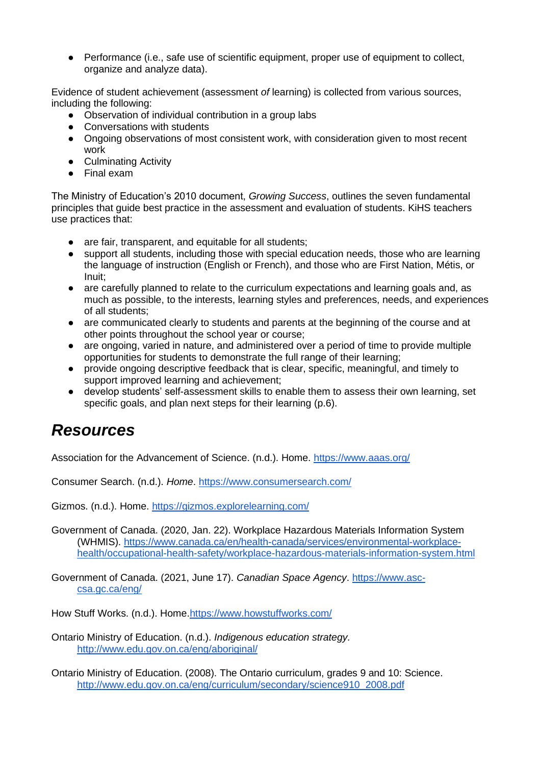● Performance (i.e., safe use of scientific equipment, proper use of equipment to collect, organize and analyze data).

Evidence of student achievement (assessment *of* learning) is collected from various sources, including the following:

- Observation of individual contribution in a group labs
- Conversations with students
- Ongoing observations of most consistent work, with consideration given to most recent work
- Culminating Activity
- Final exam

The Ministry of Education's 2010 document, *Growing Success*, outlines the seven fundamental principles that guide best practice in the assessment and evaluation of students. KiHS teachers use practices that:

- are fair, transparent, and equitable for all students;
- support all students, including those with special education needs, those who are learning the language of instruction (English or French), and those who are First Nation, Métis, or Inuit;
- are carefully planned to relate to the curriculum expectations and learning goals and, as much as possible, to the interests, learning styles and preferences, needs, and experiences of all students;
- are communicated clearly to students and parents at the beginning of the course and at other points throughout the school year or course;
- are ongoing, varied in nature, and administered over a period of time to provide multiple opportunities for students to demonstrate the full range of their learning;
- provide ongoing descriptive feedback that is clear, specific, meaningful, and timely to support improved learning and achievement;
- develop students' self-assessment skills to enable them to assess their own learning, set specific goals, and plan next steps for their learning (p.6).

### *Resources*

Association for the Advancement of Science. (n.d.). Home.<https://www.aaas.org/>

Consumer Search. (n.d.). *Home*.<https://www.consumersearch.com/>

Gizmos. (n.d.). Home. <https://gizmos.explorelearning.com/>

Government of Canada. (2020, Jan. 22). Workplace Hazardous Materials Information System (WHMIS). [https://www.canada.ca/en/health-canada/services/environmental-workplace](https://www.canada.ca/en/health-canada/services/environmental-workplace-health/occupational-health-safety/workplace-hazardous-materials-information-system.html)[health/occupational-health-safety/workplace-hazardous-materials-information-system.html](https://www.canada.ca/en/health-canada/services/environmental-workplace-health/occupational-health-safety/workplace-hazardous-materials-information-system.html)

Government of Canada. (2021, June 17). *Canadian Space Agency*. [https://www.asc](https://www.asc-csa.gc.ca/eng/)[csa.gc.ca/eng/](https://www.asc-csa.gc.ca/eng/)

How Stuff Works. (n.d.). Home[.https://www.howstuffworks.com/](https://www.howstuffworks.com/)

Ontario Ministry of Education. (n.d.). *Indigenous education strategy.* <http://www.edu.gov.on.ca/eng/aboriginal/>

Ontario Ministry of Education. (2008). The Ontario curriculum, grades 9 and 10: Science. [http://www.edu.gov.on.ca/eng/curriculum/secondary/science910\\_2008.pdf](http://www.edu.gov.on.ca/eng/curriculum/secondary/science910_2008.pdf)